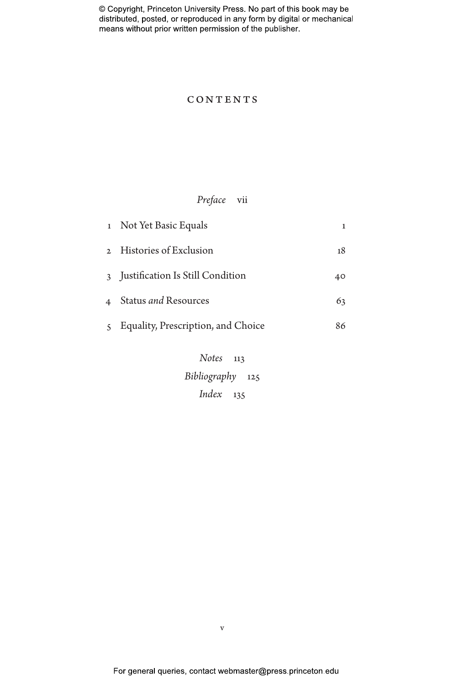### **CONTENTS**

# *Preface* vii

| 1 Not Yet Basic Equals               | 1  |
|--------------------------------------|----|
| 2 Histories of Exclusion             | 18 |
| 3 Justification Is Still Condition   | 40 |
| 4 Status <i>and</i> Resources        | 63 |
| 5 Equality, Prescription, and Choice | 86 |
| Notes 112                            |    |

*Notes* 113 *Bibliography* 125 *Index* 135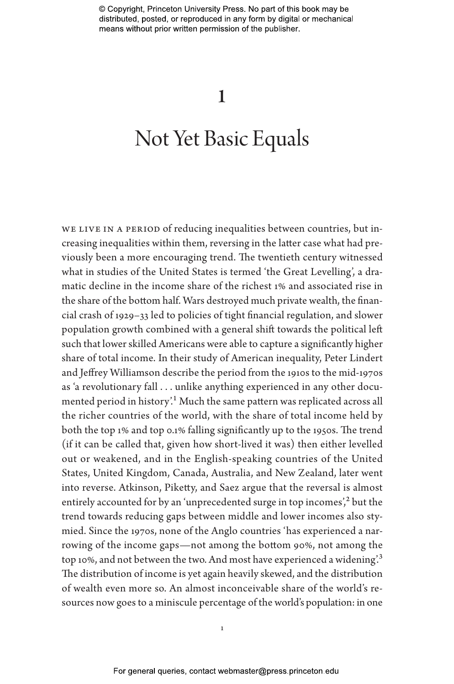# 1

# Not Yet Basic Equals

WE LIVE IN A PERIOD of reducing inequalities between countries, but increasing inequalities within them, reversing in the latter case what had previously been a more encouraging trend. The twentieth century witnessed what in studies of the United States is termed 'the Great Levelling', a dramatic decline in the income share of the richest 1% and associated rise in the share of the bottom half. Wars destroyed much private wealth, the financial crash of 1929–33 led to policies of tight financial regulation, and slower population growth combined with a general shift towards the political left such that lower skilled Americans were able to capture a significantly higher share of total income. In their study of American inequality, Peter Lindert and Jeffrey Williamson describe the period from the 1910s to the mid-1970s as 'a revolutionary fall . . . unlike anything experienced in any other documented period in history<sup>'</sup>.<sup>1</sup> Much the same pattern was replicated across all the richer countries of the world, with the share of total income held by both the top 1% and top 0.1% falling significantly up to the 1950s. The trend (if it can be called that, given how short-lived it was) then either levelled out or weakened, and in the English-speaking countries of the United States, United Kingdom, Canada, Australia, and New Zealand, later went into reverse. Atkinson, Piketty, and Saez argue that the reversal is almost entirely accounted for by an 'unprecedented surge in top incomes', $^2$  but the trend towards reducing gaps between middle and lower incomes also stymied. Since the 1970s, none of the Anglo countries 'has experienced a narrowing of the income gaps—not among the bottom 90%, not among the top 10%, and not between the two. And most have experienced a widening.<sup>3</sup> The distribution of income is yet again heavily skewed, and the distribution of wealth even more so. An almost inconceivable share of the world's resources now goes to a miniscule percentage of the world's population: in one

1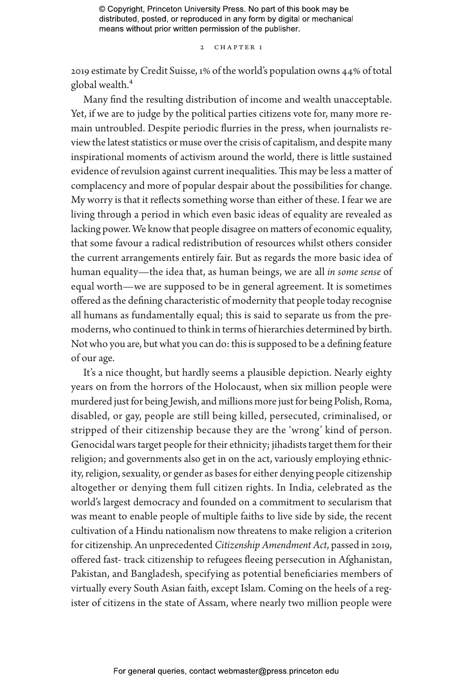2 CHAPTER 1

2019 estimate by Credit Suisse, 1% of the world's population owns 44% of total global wealth.4

Many find the resulting distribution of income and wealth unacceptable. Yet, if we are to judge by the political parties citizens vote for, many more remain untroubled. Despite periodic flurries in the press, when journalists review the latest statistics or muse over the crisis of capitalism, and despite many inspirational moments of activism around the world, there is little sustained evidence of revulsion against current inequalities. This may be less a matter of complacency and more of popular despair about the possibilities for change. My worry is that it reflects something worse than either of these. I fear we are living through a period in which even basic ideas of equality are revealed as lacking power. We know that people disagree on matters of economic equality, that some favour a radical redistribution of resources whilst others consider the current arrangements entirely fair. But as regards the more basic idea of human equality—the idea that, as human beings, we are all *in some sense* of equal worth—we are supposed to be in general agreement. It is sometimes offered as the defining characteristic of modernity that people today recognise all humans as fundamentally equal; this is said to separate us from the premoderns, who continued to think in terms of hierarchies determined by birth. Not who you are, but what you can do: this is supposed to be a defining feature of our age.

It's a nice thought, but hardly seems a plausible depiction. Nearly eighty years on from the horrors of the Holocaust, when six million people were murdered just for being Jewish, and millions more just for being Polish, Roma, disabled, or gay, people are still being killed, persecuted, criminalised, or stripped of their citizenship because they are the 'wrong' kind of person. Genocidal wars target people for their ethnicity; jihadists target them for their religion; and governments also get in on the act, variously employing ethnicity, religion, sexuality, or gender as bases for either denying people citizenship altogether or denying them full citizen rights. In India, celebrated as the world's largest democracy and founded on a commitment to secularism that was meant to enable people of multiple faiths to live side by side, the recent cultivation of a Hindu nationalism now threatens to make religion a criterion for citizenship. An unprecedented *Citizenship Amendment Act*, passed in 2019, offered fast- track citizenship to refugees fleeing persecution in Afghanistan, Pakistan, and Bangladesh, specifying as potential beneficiaries members of virtually every South Asian faith, except Islam. Coming on the heels of a register of citizens in the state of Assam, where nearly two million people were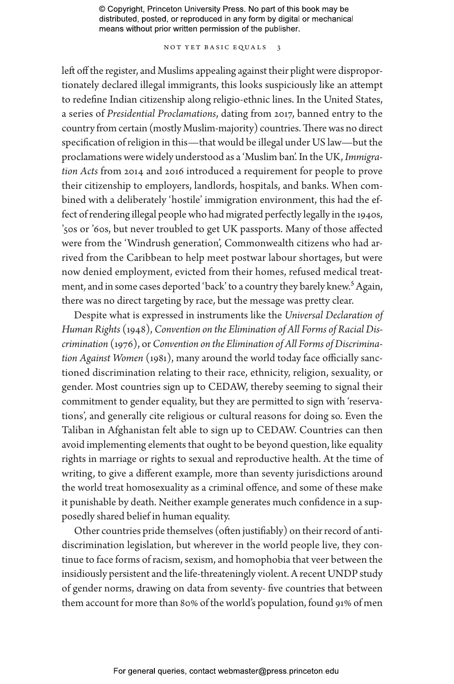NOT YET BASIC EQUALS 3

left off the register, and Muslims appealing against their plight were disproportionately declared illegal immigrants, this looks suspiciously like an attempt to redefine Indian citizenship along religio-ethnic lines. In the United States, a series of *Presidential Proclamations*, dating from 2017, banned entry to the country from certain (mostly Muslim-majority) countries. There was no direct specification of religion in this—that would be illegal under US law—but the proclamations were widely understood as a 'Muslim ban'. In the UK, *Immigration Acts* from 2014 and 2016 introduced a requirement for people to prove their citizenship to employers, landlords, hospitals, and banks. When combined with a deliberately 'hostile' immigration environment, this had the effect of rendering illegal people who had migrated perfectly legally in the 1940s, '50s or '60s, but never troubled to get UK passports. Many of those affected were from the 'Windrush generation', Commonwealth citizens who had arrived from the Caribbean to help meet postwar labour shortages, but were now denied employment, evicted from their homes, refused medical treatment, and in some cases deported 'back' to a country they barely knew.<sup>5</sup> Again, there was no direct targeting by race, but the message was pretty clear.

Despite what is expressed in instruments like the *Universal Declaration of Human Rights* (1948), *Convention on the Elimination of All Forms of Racial Discrimination* (1976), or *Convention on the Elimination of All Forms of Discrimination Against Women* (1981), many around the world today face officially sanctioned discrimination relating to their race, ethnicity, religion, sexuality, or gender. Most countries sign up to CEDAW, thereby seeming to signal their commitment to gender equality, but they are permitted to sign with 'reservations', and generally cite religious or cultural reasons for doing so. Even the Taliban in Afghanistan felt able to sign up to CEDAW. Countries can then avoid implementing elements that ought to be beyond question, like equality rights in marriage or rights to sexual and reproductive health. At the time of writing, to give a different example, more than seventy jurisdictions around the world treat homosexuality as a criminal offence, and some of these make it punishable by death. Neither example generates much confidence in a supposedly shared belief in human equality.

Other countries pride themselves (often justifiably) on their record of antidiscrimination legislation, but wherever in the world people live, they continue to face forms of racism, sexism, and homophobia that veer between the insidiously persistent and the life-threateningly violent. A recent UNDP study of gender norms, drawing on data from seventy- five countries that between them account for more than 80% of the world's population, found 91% of men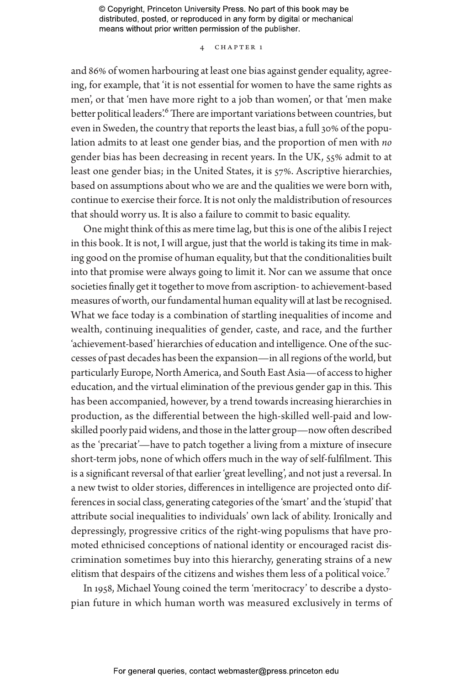#### 4 Chapter 1

and 86% of women harbouring at least one bias against gender equality, agreeing, for example, that 'it is not essential for women to have the same rights as men', or that 'men have more right to a job than women', or that 'men make better political leaders'.<sup>6</sup> There are important variations between countries, but even in Sweden, the country that reports the least bias, a full 30% of the population admits to at least one gender bias, and the proportion of men with *no* gender bias has been decreasing in recent years. In the UK, 55% admit to at least one gender bias; in the United States, it is 57%. Ascriptive hierarchies, based on assumptions about who we are and the qualities we were born with, continue to exercise their force. It is not only the maldistribution of resources that should worry us. It is also a failure to commit to basic equality.

One might think of this as mere time lag, but this is one of the alibis I reject in this book. It is not, I will argue, just that the world is taking its time in making good on the promise of human equality, but that the conditionalities built into that promise were always going to limit it. Nor can we assume that once societies finally get it together to move from ascription- to achievement-based measures of worth, our fundamental human equality will at last be recognised. What we face today is a combination of startling inequalities of income and wealth, continuing inequalities of gender, caste, and race, and the further 'achievement-based' hierarchies of education and intelligence. One of the successes of past decades has been the expansion—in all regions of the world, but particularly Europe, North America, and South East Asia—of access to higher education, and the virtual elimination of the previous gender gap in this. This has been accompanied, however, by a trend towards increasing hierarchies in production, as the differential between the high-skilled well-paid and lowskilled poorly paid widens, and those in the latter group—now often described as the 'precariat'—have to patch together a living from a mixture of insecure short-term jobs, none of which offers much in the way of self-fulfilment. This is a significant reversal of that earlier 'great levelling', and not just a reversal. In a new twist to older stories, differences in intelligence are projected onto differences in social class, generating categories of the 'smart' and the 'stupid' that attribute social inequalities to individuals' own lack of ability. Ironically and depressingly, progressive critics of the right-wing populisms that have promoted ethnicised conceptions of national identity or encouraged racist discrimination sometimes buy into this hierarchy, generating strains of a new elitism that despairs of the citizens and wishes them less of a political voice.<sup>7</sup>

In 1958, Michael Young coined the term 'meritocracy' to describe a dystopian future in which human worth was measured exclusively in terms of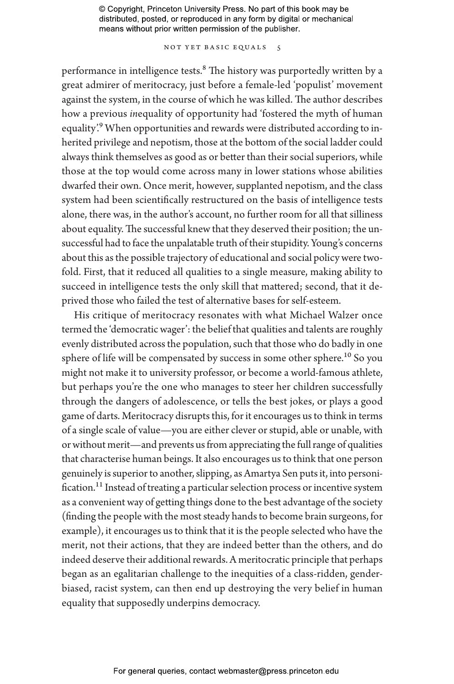NOT YET BASIC EQUALS 5

performance in intelligence tests.<sup>8</sup> The history was purportedly written by a great admirer of meritocracy, just before a female-led 'populist' movement against the system, in the course of which he was killed. The author describes how a previous *in*equality of opportunity had 'fostered the myth of human equality'.<sup>9</sup> When opportunities and rewards were distributed according to inherited privilege and nepotism, those at the bottom of the social ladder could always think themselves as good as or better than their social superiors, while those at the top would come across many in lower stations whose abilities dwarfed their own. Once merit, however, supplanted nepotism, and the class system had been scientifically restructured on the basis of intelligence tests alone, there was, in the author's account, no further room for all that silliness about equality. The successful knew that they deserved their position; the unsuccessful had to face the unpalatable truth of their stupidity. Young's concerns about this as the possible trajectory of educational and social policy were twofold. First, that it reduced all qualities to a single measure, making ability to succeed in intelligence tests the only skill that mattered; second, that it deprived those who failed the test of alternative bases for self-esteem.

His critique of meritocracy resonates with what Michael Walzer once termed the 'democratic wager': the belief that qualities and talents are roughly evenly distributed across the population, such that those who do badly in one sphere of life will be compensated by success in some other sphere.<sup>10</sup> So you might not make it to university professor, or become a world-famous athlete, but perhaps you're the one who manages to steer her children successfully through the dangers of adolescence, or tells the best jokes, or plays a good game of darts. Meritocracy disrupts this, for it encourages us to think in terms of a single scale of value—you are either clever or stupid, able or unable, with or without merit—and prevents us from appreciating the full range of qualities that characterise human beings. It also encourages us to think that one person genuinely is superior to another, slipping, as Amartya Sen puts it, into personification.<sup>11</sup> Instead of treating a particular selection process or incentive system as a convenient way of getting things done to the best advantage of the society (finding the people with the most steady hands to become brain surgeons, for example), it encourages us to think that it is the people selected who have the merit, not their actions, that they are indeed better than the others, and do indeed deserve their additional rewards. A meritocratic principle that perhaps began as an egalitarian challenge to the inequities of a class-ridden, genderbiased, racist system, can then end up destroying the very belief in human equality that supposedly underpins democracy.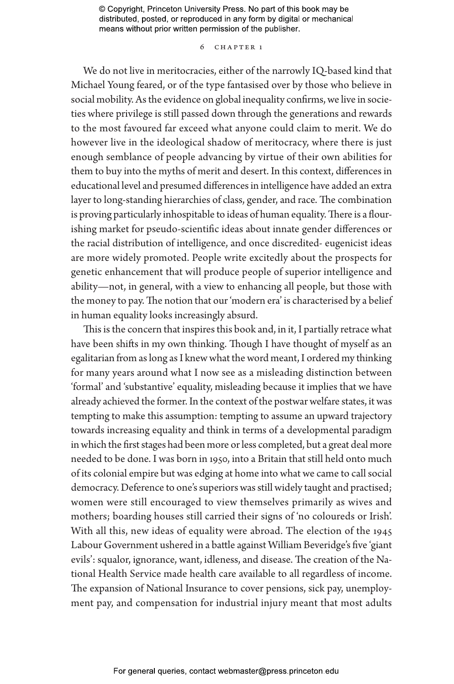#### 6 Chapter 1

We do not live in meritocracies, either of the narrowly IQ-based kind that Michael Young feared, or of the type fantasised over by those who believe in social mobility. As the evidence on global inequality confirms, we live in societies where privilege is still passed down through the generations and rewards to the most favoured far exceed what anyone could claim to merit. We do however live in the ideological shadow of meritocracy, where there is just enough semblance of people advancing by virtue of their own abilities for them to buy into the myths of merit and desert. In this context, differences in educational level and presumed differences in intelligence have added an extra layer to long-standing hierarchies of class, gender, and race. The combination is proving particularly inhospitable to ideas of human equality. There is a flourishing market for pseudo-scientific ideas about innate gender differences or the racial distribution of intelligence, and once discredited- eugenicist ideas are more widely promoted. People write excitedly about the prospects for genetic enhancement that will produce people of superior intelligence and ability—not, in general, with a view to enhancing all people, but those with the money to pay. The notion that our 'modern era' is characterised by a belief in human equality looks increasingly absurd.

This is the concern that inspires this book and, in it, I partially retrace what have been shifts in my own thinking. Though I have thought of myself as an egalitarian from as long as I knew what the word meant, I ordered my thinking for many years around what I now see as a misleading distinction between 'formal' and 'substantive' equality, misleading because it implies that we have already achieved the former. In the context of the postwar welfare states, it was tempting to make this assumption: tempting to assume an upward trajectory towards increasing equality and think in terms of a developmental paradigm in which the first stages had been more or less completed, but a great deal more needed to be done. I was born in 1950, into a Britain that still held onto much of its colonial empire but was edging at home into what we came to call social democracy. Deference to one's superiors was still widely taught and practised; women were still encouraged to view themselves primarily as wives and mothers; boarding houses still carried their signs of 'no coloureds or Irish'. With all this, new ideas of equality were abroad. The election of the 1945 Labour Government ushered in a battle against William Beveridge's five 'giant evils': squalor, ignorance, want, idleness, and disease. The creation of the National Health Service made health care available to all regardless of income. The expansion of National Insurance to cover pensions, sick pay, unemployment pay, and compensation for industrial injury meant that most adults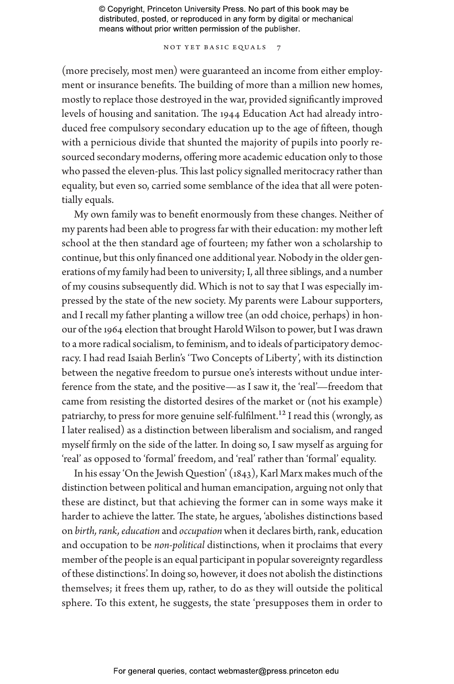NOT YET BASIC EQUALS 7

(more precisely, most men) were guaranteed an income from either employment or insurance benefits. The building of more than a million new homes, mostly to replace those destroyed in the war, provided significantly improved levels of housing and sanitation. The 1944 Education Act had already introduced free compulsory secondary education up to the age of fifteen, though with a pernicious divide that shunted the majority of pupils into poorly resourced secondary moderns, offering more academic education only to those who passed the eleven-plus. This last policy signalled meritocracy rather than equality, but even so, carried some semblance of the idea that all were potentially equals.

My own family was to benefit enormously from these changes. Neither of my parents had been able to progress far with their education: my mother left school at the then standard age of fourteen; my father won a scholarship to continue, but this only financed one additional year. Nobody in the older generations of my family had been to university; I, all three siblings, and a number of my cousins subsequently did. Which is not to say that I was especially impressed by the state of the new society. My parents were Labour supporters, and I recall my father planting a willow tree (an odd choice, perhaps) in honour of the 1964 election that brought Harold Wilson to power, but I was drawn to a more radical socialism, to feminism, and to ideals of participatory democracy. I had read Isaiah Berlin's 'Two Concepts of Liberty', with its distinction between the negative freedom to pursue one's interests without undue interference from the state, and the positive—as I saw it, the 'real'—freedom that came from resisting the distorted desires of the market or (not his example) patriarchy, to press for more genuine self-fulfilment.<sup>12</sup> I read this (wrongly, as I later realised) as a distinction between liberalism and socialism, and ranged myself firmly on the side of the latter. In doing so, I saw myself as arguing for 'real' as opposed to 'formal' freedom, and 'real' rather than 'formal' equality.

In his essay 'On the Jewish Question' (1843), Karl Marx makes much of the distinction between political and human emancipation, arguing not only that these are distinct, but that achieving the former can in some ways make it harder to achieve the latter. The state, he argues, 'abolishes distinctions based on *birth, rank, education* and *occupation* when it declares birth, rank, education and occupation to be *non-political* distinctions, when it proclaims that every member of the people is an equal participant in popular sovereignty regardless of these distinctions'. In doing so, however, it does not abolish the distinctions themselves; it frees them up, rather, to do as they will outside the political sphere. To this extent, he suggests, the state 'presupposes them in order to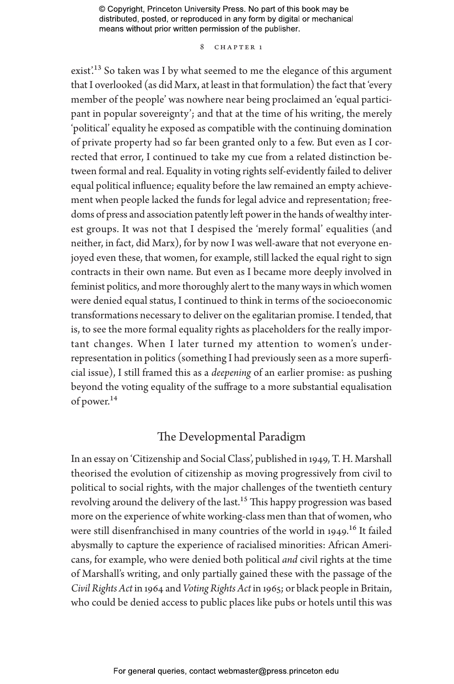#### 8 CHAPTER 1

exist'.<sup>13</sup> So taken was I by what seemed to me the elegance of this argument that I overlooked (as did Marx, at least in that formulation) the fact that 'every member of the people' was nowhere near being proclaimed an 'equal participant in popular sovereignty'; and that at the time of his writing, the merely 'political' equality he exposed as compatible with the continuing domination of private property had so far been granted only to a few. But even as I corrected that error, I continued to take my cue from a related distinction between formal and real. Equality in voting rights self-evidently failed to deliver equal political influence; equality before the law remained an empty achievement when people lacked the funds for legal advice and representation; freedoms of press and association patently left power in the hands of wealthy interest groups. It was not that I despised the 'merely formal' equalities (and neither, in fact, did Marx), for by now I was well-aware that not everyone enjoyed even these, that women, for example, still lacked the equal right to sign contracts in their own name. But even as I became more deeply involved in feminist politics, and more thoroughly alert to the many ways in which women were denied equal status, I continued to think in terms of the socioeconomic transformations necessary to deliver on the egalitarian promise. I tended, that is, to see the more formal equality rights as placeholders for the really important changes. When I later turned my attention to women's underrepresentation in politics (something I had previously seen as a more superficial issue), I still framed this as a *deepening* of an earlier promise: as pushing beyond the voting equality of the suffrage to a more substantial equalisation of power.14

## The Developmental Paradigm

In an essay on 'Citizenship and Social Class', published in 1949, T. H. Marshall theorised the evolution of citizenship as moving progressively from civil to political to social rights, with the major challenges of the twentieth century revolving around the delivery of the last.<sup>15</sup> This happy progression was based more on the experience of white working-class men than that of women, who were still disenfranchised in many countries of the world in 1949.<sup>16</sup> It failed abysmally to capture the experience of racialised minorities: African Americans, for example, who were denied both political *and* civil rights at the time of Marshall's writing, and only partially gained these with the passage of the *Civil Rights Act* in 1964 and *Voting Rights Act* in 1965; or black people in Britain, who could be denied access to public places like pubs or hotels until this was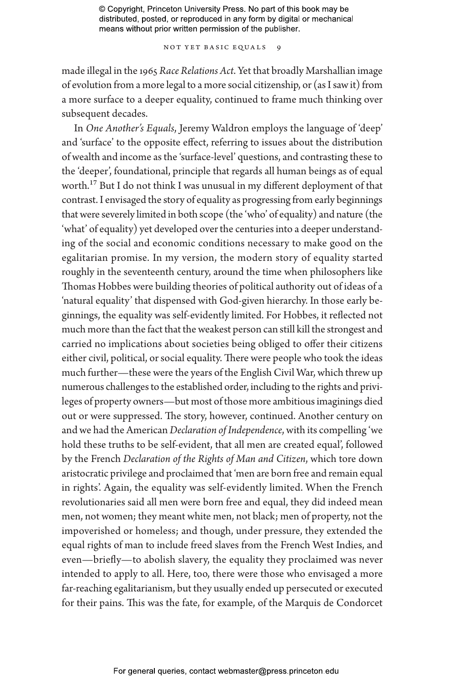NOT YET BASIC EQUALS 9

made illegal in the 1965 *Race Relations Act*. Yet that broadly Marshallian image of evolution from a more legal to a more social citizenship, or (as I saw it) from a more surface to a deeper equality, continued to frame much thinking over subsequent decades.

In *One Another's Equals*, Jeremy Waldron employs the language of 'deep' and 'surface' to the opposite effect, referring to issues about the distribution of wealth and income as the 'surface-level' questions, and contrasting these to the 'deeper', foundational, principle that regards all human beings as of equal worth.17 But I do not think I was unusual in my different deployment of that contrast. I envisaged the story of equality as progressing from early beginnings that were severely limited in both scope (the 'who' of equality) and nature (the 'what' of equality) yet developed over the centuries into a deeper understanding of the social and economic conditions necessary to make good on the egalitarian promise. In my version, the modern story of equality started roughly in the seventeenth century, around the time when philosophers like Thomas Hobbes were building theories of political authority out of ideas of a 'natural equality' that dispensed with God-given hierarchy. In those early beginnings, the equality was self-evidently limited. For Hobbes, it reflected not much more than the fact that the weakest person can still kill the strongest and carried no implications about societies being obliged to offer their citizens either civil, political, or social equality. There were people who took the ideas much further—these were the years of the English Civil War, which threw up numerous challenges to the established order, including to the rights and privileges of property owners—but most of those more ambitious imaginings died out or were suppressed. The story, however, continued. Another century on and we had the American *Declaration of Independence*, with its compelling 'we hold these truths to be self-evident, that all men are created equal', followed by the French *Declaration of the Rights of Man and Citizen*, which tore down aristocratic privilege and proclaimed that 'men are born free and remain equal in rights'. Again, the equality was self-evidently limited. When the French revolutionaries said all men were born free and equal, they did indeed mean men, not women; they meant white men, not black; men of property, not the impoverished or homeless; and though, under pressure, they extended the equal rights of man to include freed slaves from the French West Indies, and even—briefly—to abolish slavery, the equality they proclaimed was never intended to apply to all. Here, too, there were those who envisaged a more far-reaching egalitarianism, but they usually ended up persecuted or executed for their pains. This was the fate, for example, of the Marquis de Condorcet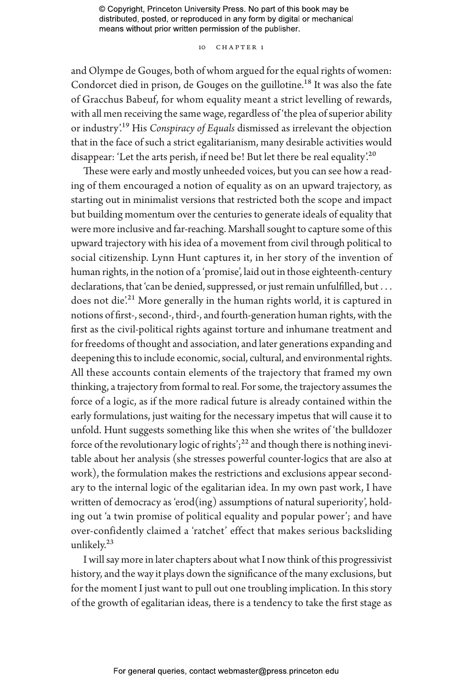#### 10 CHAPTER 1

and Olympe de Gouges, both of whom argued for the equal rights of women: Condorcet died in prison, de Gouges on the guillotine.<sup>18</sup> It was also the fate of Gracchus Babeuf, for whom equality meant a strict levelling of rewards, with all men receiving the same wage, regardless of 'the plea of superior ability or industry'.19 His *Conspiracy of Equals* dismissed as irrelevant the objection that in the face of such a strict egalitarianism, many desirable activities would disappear: 'Let the arts perish, if need be! But let there be real equality'.<sup>20</sup>

These were early and mostly unheeded voices, but you can see how a reading of them encouraged a notion of equality as on an upward trajectory, as starting out in minimalist versions that restricted both the scope and impact but building momentum over the centuries to generate ideals of equality that were more inclusive and far-reaching. Marshall sought to capture some of this upward trajectory with his idea of a movement from civil through political to social citizenship. Lynn Hunt captures it, in her story of the invention of human rights, in the notion of a 'promise', laid out in those eighteenth-century declarations, that 'can be denied, suppressed, or just remain unfulfilled, but . . . does not die.<sup>21</sup> More generally in the human rights world, it is captured in notions of first-, second-, third-, and fourth-generation human rights, with the first as the civil-political rights against torture and inhumane treatment and for freedoms of thought and association, and later generations expanding and deepening this to include economic, social, cultural, and environmental rights. All these accounts contain elements of the trajectory that framed my own thinking, a trajectory from formal to real. For some, the trajectory assumes the force of a logic, as if the more radical future is already contained within the early formulations, just waiting for the necessary impetus that will cause it to unfold. Hunt suggests something like this when she writes of 'the bulldozer force of the revolutionary logic of rights';<sup>22</sup> and though there is nothing inevitable about her analysis (she stresses powerful counter-logics that are also at work), the formulation makes the restrictions and exclusions appear secondary to the internal logic of the egalitarian idea. In my own past work, I have written of democracy as 'erod(ing) assumptions of natural superiority', holding out 'a twin promise of political equality and popular power'; and have over-confidently claimed a 'ratchet' effect that makes serious backsliding unlikely.23

I will say more in later chapters about what I now think of this progressivist history, and the way it plays down the significance of the many exclusions, but for the moment I just want to pull out one troubling implication. In this story of the growth of egalitarian ideas, there is a tendency to take the first stage as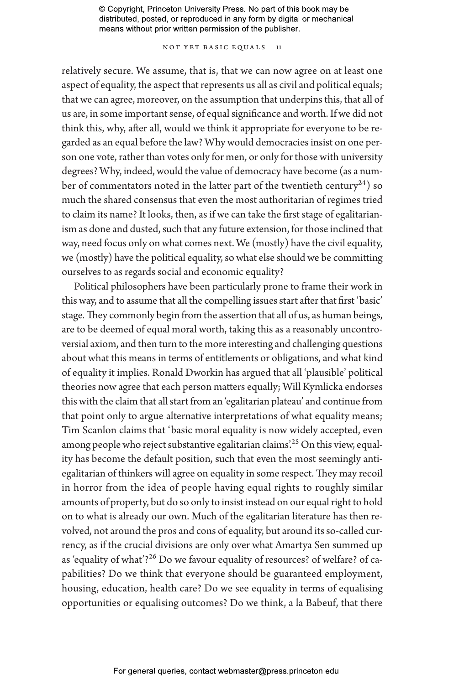NOT YET BASIC EQUALS 11

relatively secure. We assume, that is, that we can now agree on at least one aspect of equality, the aspect that represents us all as civil and political equals; that we can agree, moreover, on the assumption that underpins this, that all of us are, in some important sense, of equal significance and worth. If we did not think this, why, after all, would we think it appropriate for everyone to be regarded as an equal before the law? Why would democracies insist on one person one vote, rather than votes only for men, or only for those with university degrees? Why, indeed, would the value of democracy have become (as a number of commentators noted in the latter part of the twentieth century<sup>24</sup>) so much the shared consensus that even the most authoritarian of regimes tried to claim its name? It looks, then, as if we can take the first stage of egalitarianism as done and dusted, such that any future extension, for those inclined that way, need focus only on what comes next. We (mostly) have the civil equality, we (mostly) have the political equality, so what else should we be committing ourselves to as regards social and economic equality?

Political philosophers have been particularly prone to frame their work in this way, and to assume that all the compelling issues start after that first 'basic' stage. They commonly begin from the assertion that all of us, as human beings, are to be deemed of equal moral worth, taking this as a reasonably uncontroversial axiom, and then turn to the more interesting and challenging questions about what this means in terms of entitlements or obligations, and what kind of equality it implies. Ronald Dworkin has argued that all 'plausible' political theories now agree that each person matters equally; Will Kymlicka endorses this with the claim that all start from an 'egalitarian plateau' and continue from that point only to argue alternative interpretations of what equality means; Tim Scanlon claims that 'basic moral equality is now widely accepted, even among people who reject substantive egalitarian claims<sup>225</sup> On this view, equality has become the default position, such that even the most seemingly antiegalitarian of thinkers will agree on equality in some respect. They may recoil in horror from the idea of people having equal rights to roughly similar amounts of property, but do so only to insist instead on our equal right to hold on to what is already our own. Much of the egalitarian literature has then revolved, not around the pros and cons of equality, but around its so-called currency, as if the crucial divisions are only over what Amartya Sen summed up as 'equality of what'?<sup>26</sup> Do we favour equality of resources? of welfare? of capabilities? Do we think that everyone should be guaranteed employment, housing, education, health care? Do we see equality in terms of equalising opportunities or equalising outcomes? Do we think, a la Babeuf, that there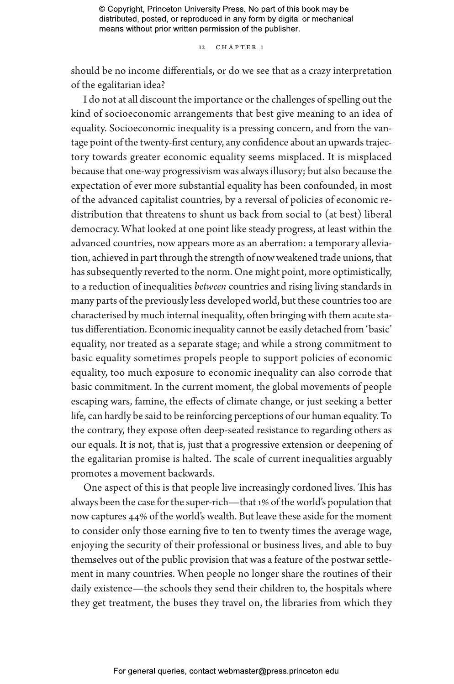12 CHAPTER 1

should be no income differentials, or do we see that as a crazy interpretation of the egalitarian idea?

I do not at all discount the importance or the challenges of spelling out the kind of socioeconomic arrangements that best give meaning to an idea of equality. Socioeconomic inequality is a pressing concern, and from the vantage point of the twenty-first century, any confidence about an upwards trajectory towards greater economic equality seems misplaced. It is misplaced because that one-way progressivism was always illusory; but also because the expectation of ever more substantial equality has been confounded, in most of the advanced capitalist countries, by a reversal of policies of economic redistribution that threatens to shunt us back from social to (at best) liberal democracy. What looked at one point like steady progress, at least within the advanced countries, now appears more as an aberration: a temporary alleviation, achieved in part through the strength of now weakened trade unions, that has subsequently reverted to the norm. One might point, more optimistically, to a reduction of inequalities *between* countries and rising living standards in many parts of the previously less developed world, but these countries too are characterised by much internal inequality, often bringing with them acute status differentiation. Economic inequality cannot be easily detached from 'basic' equality, nor treated as a separate stage; and while a strong commitment to basic equality sometimes propels people to support policies of economic equality, too much exposure to economic inequality can also corrode that basic commitment. In the current moment, the global movements of people escaping wars, famine, the effects of climate change, or just seeking a better life, can hardly be said to be reinforcing perceptions of our human equality. To the contrary, they expose often deep-seated resistance to regarding others as our equals. It is not, that is, just that a progressive extension or deepening of the egalitarian promise is halted. The scale of current inequalities arguably promotes a movement backwards.

One aspect of this is that people live increasingly cordoned lives. This has always been the case for the super-rich—that 1% of the world's population that now captures 44% of the world's wealth. But leave these aside for the moment to consider only those earning five to ten to twenty times the average wage, enjoying the security of their professional or business lives, and able to buy themselves out of the public provision that was a feature of the postwar settlement in many countries. When people no longer share the routines of their daily existence—the schools they send their children to, the hospitals where they get treatment, the buses they travel on, the libraries from which they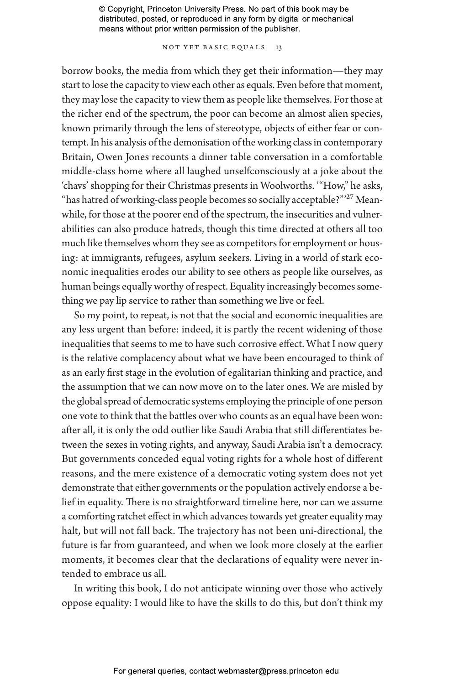NOT YET BASIC EQUALS 13

borrow books, the media from which they get their information—they may start to lose the capacity to view each other as equals. Even before that moment, they may lose the capacity to view them as people like themselves. For those at the richer end of the spectrum, the poor can become an almost alien species, known primarily through the lens of stereotype, objects of either fear or contempt. In his analysis of the demonisation of the working class in contemporary Britain, Owen Jones recounts a dinner table conversation in a comfortable middle-class home where all laughed unselfconsciously at a joke about the 'chavs' shopping for their Christmas presents in Woolworths. '"How," he asks, "has hatred of working-class people becomes so socially acceptable?"'27 Meanwhile, for those at the poorer end of the spectrum, the insecurities and vulnerabilities can also produce hatreds, though this time directed at others all too much like themselves whom they see as competitors for employment or housing: at immigrants, refugees, asylum seekers. Living in a world of stark economic inequalities erodes our ability to see others as people like ourselves, as human beings equally worthy of respect. Equality increasingly becomes something we pay lip service to rather than something we live or feel.

So my point, to repeat, is not that the social and economic inequalities are any less urgent than before: indeed, it is partly the recent widening of those inequalities that seems to me to have such corrosive effect. What I now query is the relative complacency about what we have been encouraged to think of as an early first stage in the evolution of egalitarian thinking and practice, and the assumption that we can now move on to the later ones. We are misled by the global spread of democratic systems employing the principle of one person one vote to think that the battles over who counts as an equal have been won: after all, it is only the odd outlier like Saudi Arabia that still differentiates between the sexes in voting rights, and anyway, Saudi Arabia isn't a democracy. But governments conceded equal voting rights for a whole host of different reasons, and the mere existence of a democratic voting system does not yet demonstrate that either governments or the population actively endorse a belief in equality. There is no straightforward timeline here, nor can we assume a comforting ratchet effect in which advances towards yet greater equality may halt, but will not fall back. The trajectory has not been uni-directional, the future is far from guaranteed, and when we look more closely at the earlier moments, it becomes clear that the declarations of equality were never intended to embrace us all.

In writing this book, I do not anticipate winning over those who actively oppose equality: I would like to have the skills to do this, but don't think my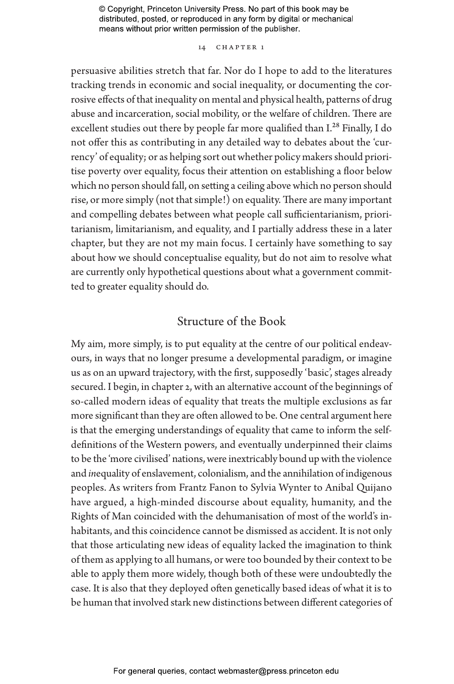14 CHAPTER 1

persuasive abilities stretch that far. Nor do I hope to add to the literatures tracking trends in economic and social inequality, or documenting the corrosive effects of that inequality on mental and physical health, patterns of drug abuse and incarceration, social mobility, or the welfare of children. There are excellent studies out there by people far more qualified than I.<sup>28</sup> Finally, I do not offer this as contributing in any detailed way to debates about the 'currency' of equality; or as helping sort out whether policy makers should prioritise poverty over equality, focus their attention on establishing a floor below which no person should fall, on setting a ceiling above which no person should rise, or more simply (not that simple!) on equality. There are many important and compelling debates between what people call sufficientarianism, prioritarianism, limitarianism, and equality, and I partially address these in a later chapter, but they are not my main focus. I certainly have something to say about how we should conceptualise equality, but do not aim to resolve what are currently only hypothetical questions about what a government committed to greater equality should do.

# Structure of the Book

My aim, more simply, is to put equality at the centre of our political endeavours, in ways that no longer presume a developmental paradigm, or imagine us as on an upward trajectory, with the first, supposedly 'basic', stages already secured. I begin, in chapter 2, with an alternative account of the beginnings of so-called modern ideas of equality that treats the multiple exclusions as far more significant than they are often allowed to be. One central argument here is that the emerging understandings of equality that came to inform the selfdefinitions of the Western powers, and eventually underpinned their claims to be the 'more civilised' nations, were inextricably bound up with the violence and *in*equality of enslavement, colonialism, and the annihilation of indigenous peoples. As writers from Frantz Fanon to Sylvia Wynter to Anibal Quijano have argued, a high-minded discourse about equality, humanity, and the Rights of Man coincided with the dehumanisation of most of the world's inhabitants, and this coincidence cannot be dismissed as accident. It is not only that those articulating new ideas of equality lacked the imagination to think of them as applying to all humans, or were too bounded by their context to be able to apply them more widely, though both of these were undoubtedly the case. It is also that they deployed often genetically based ideas of what it is to be human that involved stark new distinctions between different categories of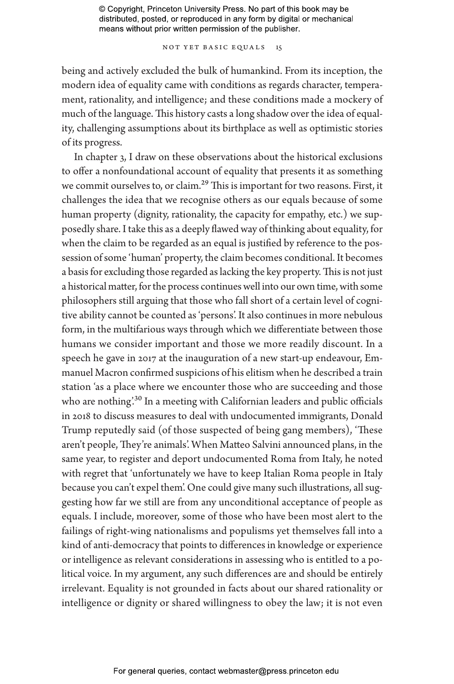NOT YET BASIC EQUALS 15

being and actively excluded the bulk of humankind. From its inception, the modern idea of equality came with conditions as regards character, temperament, rationality, and intelligence; and these conditions made a mockery of much of the language. This history casts a long shadow over the idea of equality, challenging assumptions about its birthplace as well as optimistic stories of its progress.

In chapter 3, I draw on these observations about the historical exclusions to offer a nonfoundational account of equality that presents it as something we commit ourselves to, or claim.<sup>29</sup> This is important for two reasons. First, it challenges the idea that we recognise others as our equals because of some human property (dignity, rationality, the capacity for empathy, etc.) we supposedly share. I take this as a deeply flawed way of thinking about equality, for when the claim to be regarded as an equal is justified by reference to the possession of some 'human' property, the claim becomes conditional. It becomes a basis for excluding those regarded as lacking the key property. This is not just a historical matter, for the process continues well into our own time, with some philosophers still arguing that those who fall short of a certain level of cognitive ability cannot be counted as 'persons'. It also continues in more nebulous form, in the multifarious ways through which we differentiate between those humans we consider important and those we more readily discount. In a speech he gave in 2017 at the inauguration of a new start-up endeavour, Emmanuel Macron confirmed suspicions of his elitism when he described a train station 'as a place where we encounter those who are succeeding and those who are nothing'.<sup>30</sup> In a meeting with Californian leaders and public officials in 2018 to discuss measures to deal with undocumented immigrants, Donald Trump reputedly said (of those suspected of being gang members), 'These aren't people, They're animals'. When Matteo Salvini announced plans, in the same year, to register and deport undocumented Roma from Italy, he noted with regret that 'unfortunately we have to keep Italian Roma people in Italy because you can't expel them'. One could give many such illustrations, all suggesting how far we still are from any unconditional acceptance of people as equals. I include, moreover, some of those who have been most alert to the failings of right-wing nationalisms and populisms yet themselves fall into a kind of anti-democracy that points to differences in knowledge or experience or intelligence as relevant considerations in assessing who is entitled to a political voice. In my argument, any such differences are and should be entirely irrelevant. Equality is not grounded in facts about our shared rationality or intelligence or dignity or shared willingness to obey the law; it is not even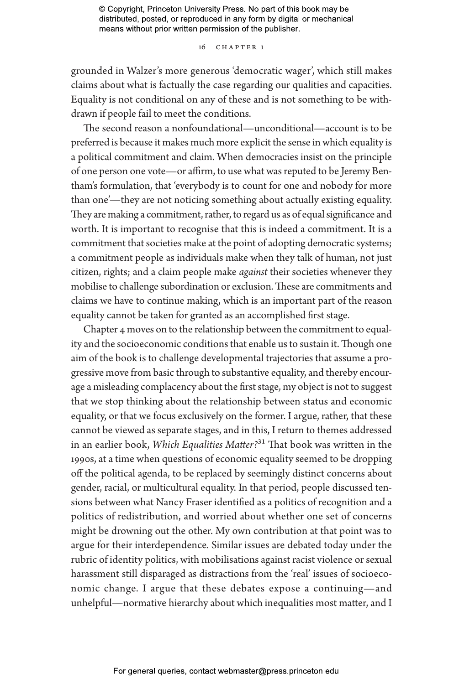#### 16 Chapter 1

grounded in Walzer's more generous 'democratic wager', which still makes claims about what is factually the case regarding our qualities and capacities. Equality is not conditional on any of these and is not something to be withdrawn if people fail to meet the conditions.

The second reason a nonfoundational—unconditional—account is to be preferred is because it makes much more explicit the sense in which equality is a political commitment and claim. When democracies insist on the principle of one person one vote—or affirm, to use what was reputed to be Jeremy Bentham's formulation, that 'everybody is to count for one and nobody for more than one'—they are not noticing something about actually existing equality. They are making a commitment, rather, to regard us as of equal significance and worth. It is important to recognise that this is indeed a commitment. It is a commitment that societies make at the point of adopting democratic systems; a commitment people as individuals make when they talk of human, not just citizen, rights; and a claim people make *against* their societies whenever they mobilise to challenge subordination or exclusion. These are commitments and claims we have to continue making, which is an important part of the reason equality cannot be taken for granted as an accomplished first stage.

Chapter 4 moves on to the relationship between the commitment to equality and the socioeconomic conditions that enable us to sustain it. Though one aim of the book is to challenge developmental trajectories that assume a progressive move from basic through to substantive equality, and thereby encourage a misleading complacency about the first stage, my object is not to suggest that we stop thinking about the relationship between status and economic equality, or that we focus exclusively on the former. I argue, rather, that these cannot be viewed as separate stages, and in this, I return to themes addressed in an earlier book, *Which Equalities Matter?*31 That book was written in the 1990s, at a time when questions of economic equality seemed to be dropping off the political agenda, to be replaced by seemingly distinct concerns about gender, racial, or multicultural equality. In that period, people discussed tensions between what Nancy Fraser identified as a politics of recognition and a politics of redistribution, and worried about whether one set of concerns might be drowning out the other. My own contribution at that point was to argue for their interdependence. Similar issues are debated today under the rubric of identity politics, with mobilisations against racist violence or sexual harassment still disparaged as distractions from the 'real' issues of socioeconomic change. I argue that these debates expose a continuing—and unhelpful—normative hierarchy about which inequalities most matter, and I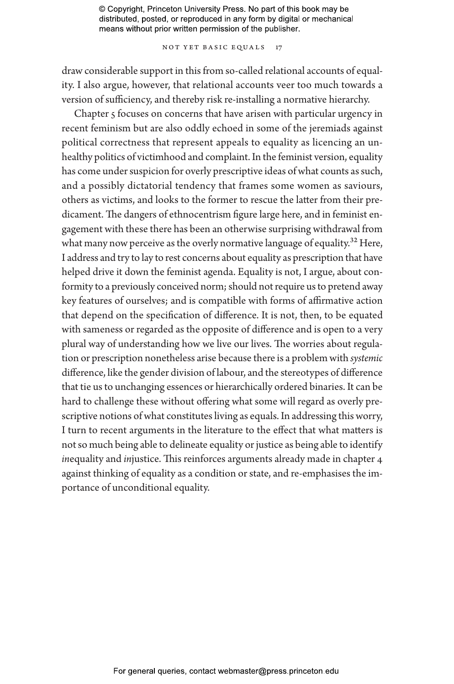NOT YET BASIC EQUALS 17

draw considerable support in this from so-called relational accounts of equality. I also argue, however, that relational accounts veer too much towards a version of sufficiency, and thereby risk re-installing a normative hierarchy.

Chapter 5 focuses on concerns that have arisen with particular urgency in recent feminism but are also oddly echoed in some of the jeremiads against political correctness that represent appeals to equality as licencing an unhealthy politics of victimhood and complaint. In the feminist version, equality has come under suspicion for overly prescriptive ideas of what counts as such, and a possibly dictatorial tendency that frames some women as saviours, others as victims, and looks to the former to rescue the latter from their predicament. The dangers of ethnocentrism figure large here, and in feminist engagement with these there has been an otherwise surprising withdrawal from what many now perceive as the overly normative language of equality.<sup>32</sup> Here, I address and try to lay to rest concerns about equality as prescription that have helped drive it down the feminist agenda. Equality is not, I argue, about conformity to a previously conceived norm; should not require us to pretend away key features of ourselves; and is compatible with forms of affirmative action that depend on the specification of difference. It is not, then, to be equated with sameness or regarded as the opposite of difference and is open to a very plural way of understanding how we live our lives. The worries about regulation or prescription nonetheless arise because there is a problem with *systemic* difference, like the gender division of labour, and the stereotypes of difference that tie us to unchanging essences or hierarchically ordered binaries. It can be hard to challenge these without offering what some will regard as overly prescriptive notions of what constitutes living as equals. In addressing this worry, I turn to recent arguments in the literature to the effect that what matters is not so much being able to delineate equality or justice as being able to identify *in*equality and *in*justice. This reinforces arguments already made in chapter 4 against thinking of equality as a condition or state, and re-emphasises the importance of unconditional equality.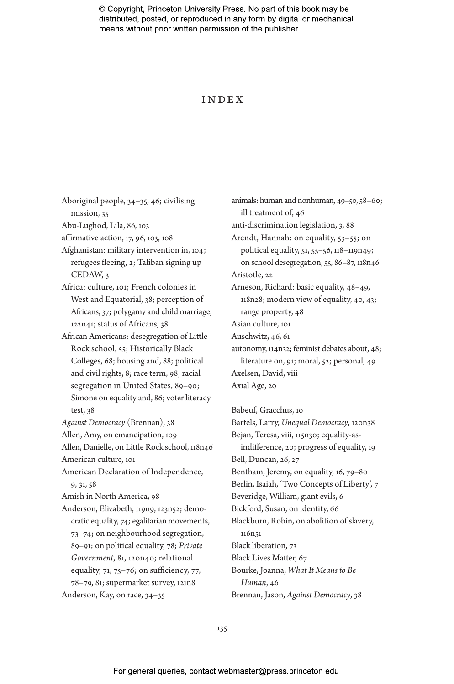#### Index

Aboriginal people, 34–35, 46; civilising mission, 35 Abu-Lughod, Lila, 86, 103 affirmative action, 17, 96, 103, 108 Afghanistan: military intervention in, 104; refugees fleeing, 2; Taliban signing up CEDAW, 3 Africa: culture, 101; French colonies in West and Equatorial, 38; perception of Africans, 37; polygamy and child marriage, 122n41; status of Africans, 38 African Americans: desegregation of Little Rock school, 55; Historically Black Colleges, 68; housing and, 88; political and civil rights, 8; race term, 98; racial segregation in United States, 89–90; Simone on equality and, 86; voter literacy test, 38 *Against Democracy* (Brennan), 38 Allen, Amy, on emancipation, 109 Allen, Danielle, on Little Rock school, 118n46 American culture, 101 American Declaration of Independence, 9, 31, 58 Amish in North America, 98 Anderson, Elizabeth, 119n9, 123n52; democratic equality, 74; egalitarian movements, 73–74; on neighbourhood segregation, 89–91; on political equality, 78; *Private Government*, 81, 120n40; relational equality,  $71$ ,  $75-76$ ; on sufficiency,  $77$ , 78–79, 81; supermarket survey, 121n8 Anderson, Kay, on race, 34–35

animals: human and nonhuman, 49–50, 58–60; ill treatment of, 46 anti-discrimination legislation, 3, 88 Arendt, Hannah: on equality, 53–55; on political equality, 51, 55–56, 118–119n49; on school desegregation, 55, 86–87, 118n46 Aristotle, 22 Arneson, Richard: basic equality, 48–49, 118n28; modern view of equality, 40, 43; range property, 48 Asian culture, 101 Auschwitz, 46, 61 autonomy, 114n32; feminist debates about, 48; literature on, 91; moral, 52; personal, 49 Axelsen, David, viii Axial Age, 20 Babeuf, Gracchus, 10

Bartels, Larry, *Unequal Democracy*, 120n38 Bejan, Teresa, viii, 115n30; equality-asindifference, 20; progress of equality, 19 Bell, Duncan, 26, 27 Bentham, Jeremy, on equality, 16, 79–80 Berlin, Isaiah, 'Two Concepts of Liberty', 7 Beveridge, William, giant evils, 6 Bickford, Susan, on identity, 66 Blackburn, Robin, on abolition of slavery, 116n51 Black liberation, 73 Black Lives Matter, 67 Bourke, Joanna, *What It Means to Be Human*, 46 Brennan, Jason, *Against Democracy*, 38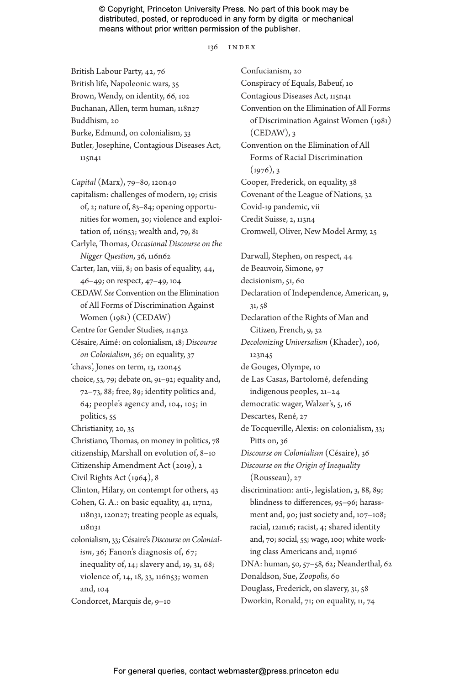136 index

British Labour Party, 42, 76 British life, Napoleonic wars, 35 Brown, Wendy, on identity, 66, 102 Buchanan, Allen, term human, 118n27 Buddhism, 20 Burke, Edmund, on colonialism, 33 Butler, Josephine, Contagious Diseases Act, 115n41

*Capital* (Marx), 79–80, 120n40 capitalism: challenges of modern, 19; crisis of, 2; nature of, 83–84; opening opportunities for women, 30; violence and exploitation of, 116n53; wealth and, 79, 81 Carlyle, Thomas, *Occasional Discourse on the Nigger Question*, 36, 116n62 Carter, Ian, viii, 8; on basis of equality, 44, 46–49; on respect, 47–49, 104 CEDAW. *See* Convention on the Elimination of All Forms of Discrimination Against Women (1981) (CEDAW) Centre for Gender Studies, 114n32 Césaire, Aimé: on colonialism, 18; *Discourse on Colonialism*, 36; on equality, 37 'chavs', Jones on term, 13, 120n45 choice, 53, 79; debate on, 91–92; equality and, 72–73, 88; free, 89; identity politics and, 64; people's agency and, 104, 105; in politics, 55 Christianity, 20, 35 Christiano, Thomas, on money in politics, 78 citizenship, Marshall on evolution of, 8–10 Citizenship Amendment Act (2019), 2 Civil Rights Act (1964), 8 Clinton, Hilary, on contempt for others, 43 Cohen, G. A.: on basic equality, 41, 117n2, 118n31, 120n27; treating people as equals, 118n31 colonialism, 33; Césaire's *Discourse on Colonialism*, 36; Fanon's diagnosis of, 67; inequality of, 14; slavery and, 19, 31, 68; violence of, 14, 18, 33, 116n53; women and, 104 Condorcet, Marquis de, 9–10

Confucianism, 20 Conspiracy of Equals, Babeuf, 10 Contagious Diseases Act, 115n41 Convention on the Elimination of All Forms of Discrimination Against Women (1981)  $(CEDAW)$ , 3 Convention on the Elimination of All Forms of Racial Discrimination  $(1976)$ , 3 Cooper, Frederick, on equality, 38 Covenant of the League of Nations, 32 Covid-19 pandemic, vii Credit Suisse, 2, 113n4 Cromwell, Oliver, New Model Army, 25 Darwall, Stephen, on respect, 44 de Beauvoir, Simone, 97 decisionism, 51, 60 Declaration of Independence, American, 9, 31, 58 Declaration of the Rights of Man and Citizen, French, 9, 32 *Decolonizing Universalism* (Khader), 106, 123n45 de Gouges, Olympe, 10 de Las Casas, Bartolomé, defending indigenous peoples, 21–24 democratic wager, Walzer's, 5, 16 Descartes, René, 27 de Tocqueville, Alexis: on colonialism, 33; Pitts on, 36 *Discourse on Colonialism* (Césaire), 36 *Discourse on the Origin of Inequality* (Rousseau), 27 discrimination: anti-, legislation, 3, 88, 89; blindness to differences, 95–96; harassment and, 90; just society and, 107–108; racial, 121n16; racist, 4; shared identity and, 70; social, 55; wage, 100; white working class Americans and, 119n16 DNA: human, 50, 57–58, 62; Neanderthal, 62 Donaldson, Sue, *Zoopolis*, 60 Douglass, Frederick, on slavery, 31, 58 Dworkin, Ronald, 71; on equality, 11, 74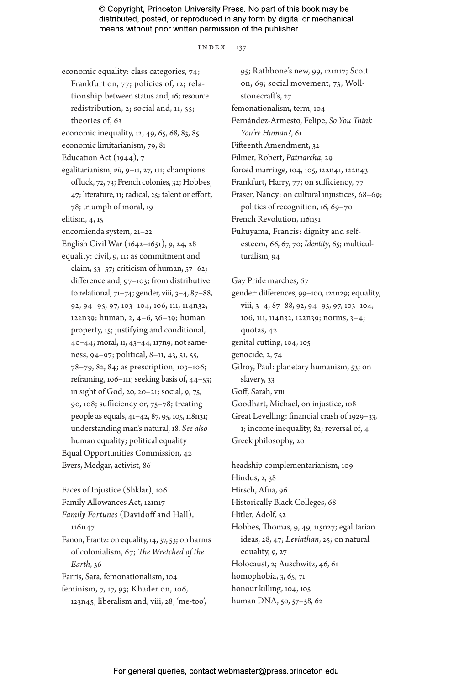#### $INDEX$  137

economic equality: class categories, 74; Frankfurt on, 77; policies of, 12; relationship between status and, 16; resource redistribution, 2; social and, 11, 55; theories of, 63 economic inequality, 12, 49, 65, 68, 83, 85 economic limitarianism, 79, 81 Education Act  $(1944)$ , 7 egalitarianism, *vii*, 9–11, 27, 111; champions of luck, 72, 73; French colonies, 32; Hobbes, 47; literature, 11; radical, 25; talent or effort, 78; triumph of moral, 19 elitism, 4, 15 encomienda system, 21–22 English Civil War (1642–1651), 9, 24, 28 equality: civil, 9, 11; as commitment and claim, 53–57; criticism of human, 57–62; difference and, 97–103; from distributive to relational, 71–74; gender, viii, 3–4, 87–88, 92, 94–95, 97, 103–104, 106, 111, 114n32, 122n39; human, 2, 4–6, 36–39; human property, 15; justifying and conditional, 40–44; moral, 11, 43–44, 117n9; not sameness, 94–97; political, 8–11, 43, 51, 55, 78–79, 82, 84; as prescription, 103–106; reframing, 106–111; seeking basis of, 44–53; in sight of God, 20, 20–21; social, 9, 75, 90, 108; sufficiency or, 75–78; treating people as equals, 41–42, 87, 95, 105, 118n31; understanding man's natural, 18. *See also* human equality; political equality Equal Opportunities Commission, 42 Evers, Medgar, activist, 86

Faces of Injustice (Shklar), 106 Family Allowances Act, 121n17 *Family Fortunes* (Davidoff and Hall), 116n47 Fanon, Frantz: on equality, 14, 37, 53; on harms of colonialism, 67; *The Wretched of the Earth*, 36 Farris, Sara, femonationalism, 104 feminism, 7, 17, 93; Khader on, 106,

123n45; liberalism and, viii, 28; 'me-too',

95; Rathbone's new, 99, 121n17; Scott on, 69; social movement, 73; Wollstonecraft's, 27 femonationalism, term, 104 Fernández-Armesto, Felipe, *So You Think You're Human?*, 61 Fifteenth Amendment, 32 Filmer, Robert, *Patriarcha*, 29 forced marriage, 104, 105, 122n41, 122n43 Frankfurt, Harry, 77; on sufficiency, 77 Fraser, Nancy: on cultural injustices, 68–69; politics of recognition, 16, 69–70 French Revolution, 116n51 Fukuyama, Francis: dignity and selfesteem, 66, 67, 70; *Identity*, 65; multiculturalism, 94

Gay Pride marches, 67

gender: differences, 99–100, 122n29; equality, viii, 3–4, 87–88, 92, 94–95, 97, 103–104, 106, 111, 114n32, 122n39; norms, 3–4; quotas, 42 genital cutting, 104, 105

genocide, 2, 74

Gilroy, Paul: planetary humanism, 53; on slavery, 33

Goff, Sarah, viii

Goodhart, Michael, on injustice, 108

Great Levelling: financial crash of 1929–33, 1; income inequality, 82; reversal of, 4

Greek philosophy, 20

headship complementarianism, 109 Hindus, 2, 38 Hirsch, Afua, 96 Historically Black Colleges, 68 Hitler, Adolf, 52 Hobbes, Thomas, 9, 49, 115n27; egalitarian ideas, 28, 47; *Leviathan*, 25; on natural equality, 9, 27 Holocaust, 2; Auschwitz, 46, 61 homophobia, 3, 65, 71 honour killing, 104, 105 human DNA, 50, 57–58, 62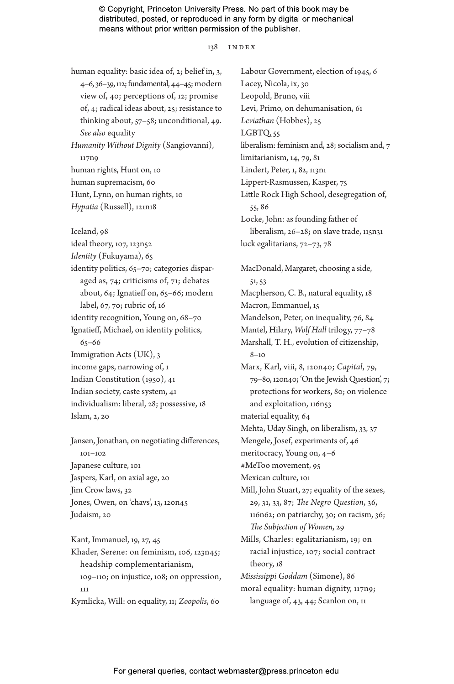138 index

human equality: basic idea of, 2; belief in, 3, 4–6, 36–39, 112; fundamental, 44–45; modern view of, 40; perceptions of, 12; promise of, 4; radical ideas about, 25; resistance to thinking about, 57–58; unconditional, 49. *See also* equality

*Humanity Without Dignity* (Sangiovanni), 117n9 human rights, Hunt on, 10 human supremacism, 60

Hunt, Lynn, on human rights, 10

*Hypatia* (Russell), 121n18

Iceland, 98

ideal theory, 107, 123n52

*Identity* (Fukuyama), 65

identity politics, 65–70; categories disparaged as, 74; criticisms of, 71; debates about, 64; Ignatieff on, 65–66; modern label, 67, 70; rubric of, 16 identity recognition, Young on, 68–70 Ignatieff, Michael, on identity politics, 65–66 Immigration Acts (UK), 3 income gaps, narrowing of, 1 Indian Constitution (1950), 41 Indian society, caste system, 41 individualism: liberal, 28; possessive, 18 Islam, 2, 20

Jansen, Jonathan, on negotiating differences, 101–102 Japanese culture, 101 Jaspers, Karl, on axial age, 20 Jim Crow laws, 32 Jones, Owen, on 'chavs', 13, 120n45 Judaism, 20

Kant, Immanuel, 19, 27, 45 Khader, Serene: on feminism, 106, 123n45;

headship complementarianism, 109–110; on injustice, 108; on oppression, 111 Kymlicka, Will: on equality, 11; *Zoopolis*, 60

Labour Government, election of 1945, 6 Lacey, Nicola, ix, 30 Leopold, Bruno, viii Levi, Primo, on dehumanisation, 61 *Leviathan* (Hobbes), 25 LGBTQ, 55 liberalism: feminism and, 28; socialism and, 7 limitarianism, 14, 79, 81 Lindert, Peter, 1, 82, 113n1 Lippert-Rasmussen, Kasper, 75 Little Rock High School, desegregation of, 55, 86 Locke, John: as founding father of liberalism, 26–28; on slave trade, 115n31 luck egalitarians, 72–73, 78 MacDonald, Margaret, choosing a side, 51, 53 Macpherson, C. B., natural equality, 18 Macron, Emmanuel, 15 Mandelson, Peter, on inequality, 76, 84 Mantel, Hilary, *Wolf Hall* trilogy, 77–78 Marshall, T. H., evolution of citizenship, 8–10 Marx, Karl, viii, 8, 120n40; *Capital*, 79, 79–80, 120n40; 'On the Jewish Question', 7; protections for workers, 80; on violence and exploitation, 116n53 material equality, 64 Mehta, Uday Singh, on liberalism, 33, 37 Mengele, Josef, experiments of, 46 meritocracy, Young on, 4–6 #MeToo movement, 95 Mexican culture, 101 Mill, John Stuart, 27; equality of the sexes, 29, 31, 33, 87; *The Negro Question*, 36, 116n62; on patriarchy, 30; on racism, 36; *The Subjection of Women*, 29 Mills, Charles: egalitarianism, 19; on racial injustice, 107; social contract theory, 18 *Mississippi Goddam* (Simone), 86 moral equality: human dignity, 117n9; language of, 43, 44; Scanlon on, 11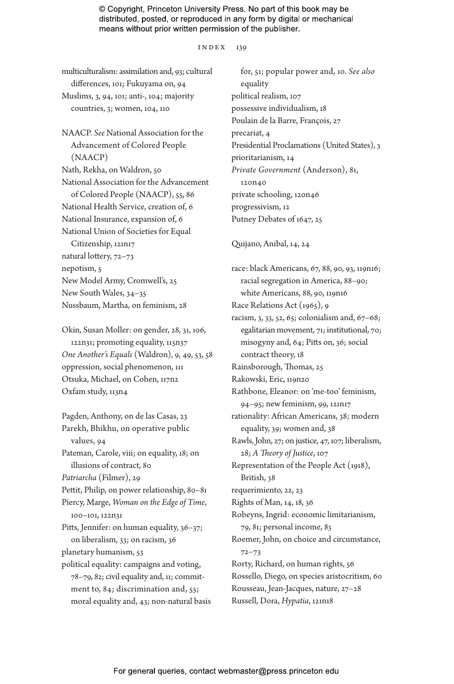#### index 139

| multiculturalism: assimilation and, 93; cultural<br>differences, 101; Fukuyama on, 94 | for, 51; popular power and, 10. See also<br>equality |
|---------------------------------------------------------------------------------------|------------------------------------------------------|
| Muslims, 3, 94, 101; anti-, 104; majority                                             | political realism, 107                               |
| countries, 3; women, 104, 110                                                         | possessive individualism, 18                         |
|                                                                                       | Poulain de la Barre, François, 27                    |
| NAACP. See National Association for the                                               | precariat, 4                                         |
| Advancement of Colored People                                                         | Presidential Proclamations (United States), 3        |
| (NAACP)                                                                               |                                                      |
|                                                                                       | prioritarianism, 14                                  |
| Nath, Rekha, on Waldron, 50                                                           | Private Government (Anderson), 81,                   |
| National Association for the Advancement                                              | 120 <sub>n40</sub>                                   |
| of Colored People (NAACP), 55, 86                                                     | private schooling, 120n46                            |
| National Health Service, creation of, 6                                               | progressivism, 12                                    |
| National Insurance, expansion of, 6                                                   | Putney Debates of 1647, 25                           |
| National Union of Societies for Equal                                                 |                                                      |
| Citizenship, 121n17                                                                   | Quijano, Anibal, 14, 24                              |
| natural lottery, 72-73                                                                |                                                      |
| nepotism, 5                                                                           | race: black Americans, 67, 88, 90, 93, 119n16;       |
| New Model Army, Cromwell's, 25                                                        | racial segregation in America, 88-90;                |
| New South Wales, 34-35                                                                | white Americans, 88, 90, 119n16                      |
| Nussbaum, Martha, on feminism, 28                                                     | Race Relations Act (1965), 9                         |
|                                                                                       | racism, 3, 33, 52, 65; colonialism and, 67-68;       |
| Okin, Susan Moller: on gender, 28, 31, 106,                                           | egalitarian movement, 71; institutional, 70;         |
| 122n31; promoting equality, 115n37                                                    | misogyny and, 64; Pitts on, 36; social               |
| One Another's Equals (Waldron), 9, 49, 53, 58                                         | contract theory, 18                                  |
| oppression, social phenomenon, 111                                                    | Rainsborough, Thomas, 25                             |
| Otsuka, Michael, on Cohen, 117n2                                                      | Rakowski, Eric, 119n20                               |
| Oxfam study, 113n4                                                                    | Rathbone, Eleanor: on 'me-too' feminism,             |
|                                                                                       | 94-95; new feminism, 99, 121n17                      |
| Pagden, Anthony, on de las Casas, 23                                                  | rationality: African Americans, 38; modern           |
| Parekh, Bhikhu, on operative public                                                   | equality, 39; women and, 38                          |
| values, 94                                                                            | Rawls, John, 27; on justice, 47, 107; liberalism,    |
| Pateman, Carole, viii; on equality, 18; on                                            | 28; A Theory of Justice, 107                         |
| illusions of contract, 80                                                             | Representation of the People Act (1918),             |
| Patriarcha (Filmer), 29                                                               | British, 38                                          |
| Pettit, Philip, on power relationship, 80-81                                          | requerimiento, 22, 23                                |
| Piercy, Marge, Woman on the Edge of Time,                                             | Rights of Man, 14, 18, 36                            |
| 100-101, 122n31                                                                       | Robeyns, Ingrid: economic limitarianism,             |
| Pitts, Jennifer: on human equality, 36-37;                                            | 79, 81; personal income, 83                          |
| on liberalism, 33; on racism, 36                                                      | Roemer, John, on choice and circumstance,            |
| planetary humanism, 53                                                                | $72 - 73$                                            |
| political equality: campaigns and voting,                                             | Rorty, Richard, on human rights, 56                  |
| 78-79, 82; civil equality and, 11; commit-                                            | Rossello, Diego, on species aristocritism, 60        |
| ment to, 84; discrimination and, 55;                                                  | Rousseau, Jean-Jacques, nature, 27-28                |
| moral equality and, 43; non-natural basis                                             | Russell, Dora, Hypatia, 121n18                       |
|                                                                                       |                                                      |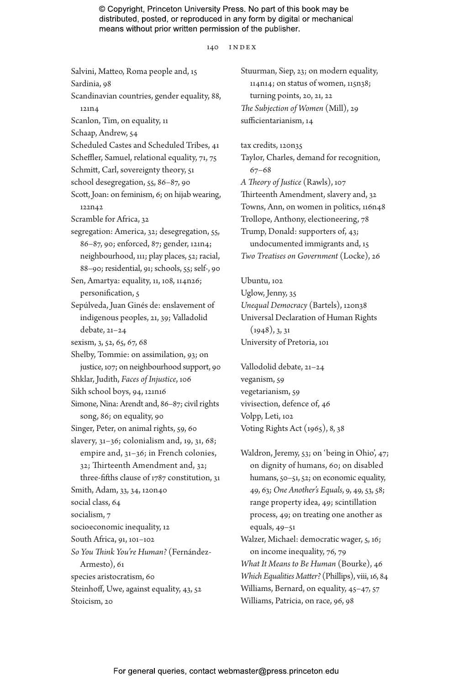140 INDEX

Salvini, Matteo, Roma people and, 15 Sardinia, 98 Scandinavian countries, gender equality, 88, 121n4 Scanlon, Tim, on equality, 11 Schaap, Andrew, 54 Scheduled Castes and Scheduled Tribes, 41 Scheffler, Samuel, relational equality, 71, 75 Schmitt, Carl, sovereignty theory, 51 school desegregation, 55, 86–87, 90 Scott, Joan: on feminism, 6; on hijab wearing, 122n42 Scramble for Africa, 32 segregation: America, 32; desegregation, 55, 86–87, 90; enforced, 87; gender, 121n4; neighbourhood, 111; play places, 52; racial, 88–90; residential, 91; schools, 55; self-, 90 Sen, Amartya: equality, 11, 108, 114n26; personification, 5 Sepúlveda, Juan Ginés de: enslavement of indigenous peoples, 21, 39; Valladolid debate, 21–24 sexism, 3, 52, 65, 67, 68 Shelby, Tommie: on assimilation, 93; on justice, 107; on neighbourhood support, 90 Shklar, Judith, *Faces of Injustice*, 106 Sikh school boys, 94, 121n16 Simone, Nina: Arendt and, 86–87; civil rights song, 86; on equality, 90 Singer, Peter, on animal rights, 59, 60 slavery, 31–36; colonialism and, 19, 31, 68; empire and, 31–36; in French colonies, 32; Thirteenth Amendment and, 32; three-fifths clause of 1787 constitution, 31 Smith, Adam, 33, 34, 120n40 social class, 64 socialism, 7 socioeconomic inequality, 12 South Africa, 91, 101–102 *So You Think You're Human?* (Fernández-Armesto), 61 species aristocratism, 60 Steinhoff, Uwe, against equality, 43, 52 Stoicism, 20

Stuurman, Siep, 23; on modern equality, 114n14; on status of women, 115n38; turning points, 20, 21, 22 *The Subjection of Women* (Mill), 29 sufficientarianism, 14

tax credits, 120n35 Taylor, Charles, demand for recognition, 67–68 *A Theory of Justice* (Rawls), 107 Thirteenth Amendment, slavery and, 32 Towns, Ann, on women in politics, 116n48 Trollope, Anthony, electioneering, 78 Trump, Donald: supporters of, 43; undocumented immigrants and, 15 *Two Treatises on Government* (Locke), 26

Ubuntu, 102 Uglow, Jenny, 35 *Unequal Democracy* (Bartels), 120n38 Universal Declaration of Human Rights  $(1948), 3, 31$ University of Pretoria, 101

Vallodolid debate, 21–24 veganism, 59 vegetarianism, 59 vivisection, defence of, 46 Volpp, Leti, 102 Voting Rights Act (1965), 8, 38

Waldron, Jeremy, 53; on 'being in Ohio', 47; on dignity of humans, 60; on disabled humans, 50–51, 52; on economic equality, 49, 63; *One Another's Equals*, 9, 49, 53, 58; range property idea, 49; scintillation process, 49; on treating one another as equals, 49–51 Walzer, Michael: democratic wager, 5, 16; on income inequality, 76, 79 *What It Means to Be Human* (Bourke), 46 *Which Equalities Matter?* (Phillips), viii, 16, 84 Williams, Bernard, on equality, 45–47, 57 Williams, Patricia, on race, 96, 98